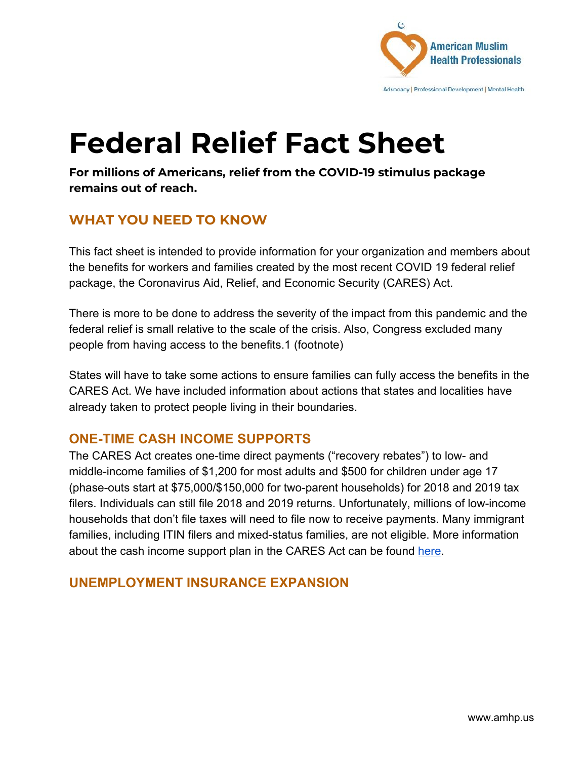

# **Federal Relief Fact Sheet**

**For millions of Americans, relief from the COVID-19 stimulus package remains out of reach.**

## **WHAT YOU NEED TO KNOW**

This fact sheet is intended to provide information for your organization and members about the benefits for workers and families created by the most recent COVID 19 federal relief package, the Coronavirus Aid, Relief, and Economic Security (CARES) Act.

There is more to be done to address the severity of the impact from this pandemic and the federal relief is small relative to the scale of the crisis. Also, Congress excluded many people from having access to the benefits.1 (footnote)

States will have to take some actions to ensure families can fully access the benefits in the CARES Act. We have included information about actions that states and localities have already taken to protect people living in their boundaries.

### **ONE-TIME CASH INCOME SUPPORTS**

The CARES Act creates one-time direct payments ("recovery rebates") to low- and middle-income families of \$1,200 for most adults and \$500 for children under age 17 (phase-outs start at \$75,000/\$150,000 for two-parent households) for 2018 and 2019 tax filers. Individuals can still file 2018 and 2019 returns. Unfortunately, millions of low-income households that don't file taxes will need to file now to receive payments. Many immigrant families, including ITIN filers and mixed-status families, are not eligible. More information about the cash income support plan in the CARES Act can be found [here](https://www.cbpp.org/research/economy/cares-act-includes-essential-measures-to-respond-to-public-health-economic-crises).

### **UNEMPLOYMENT INSURANCE EXPANSION**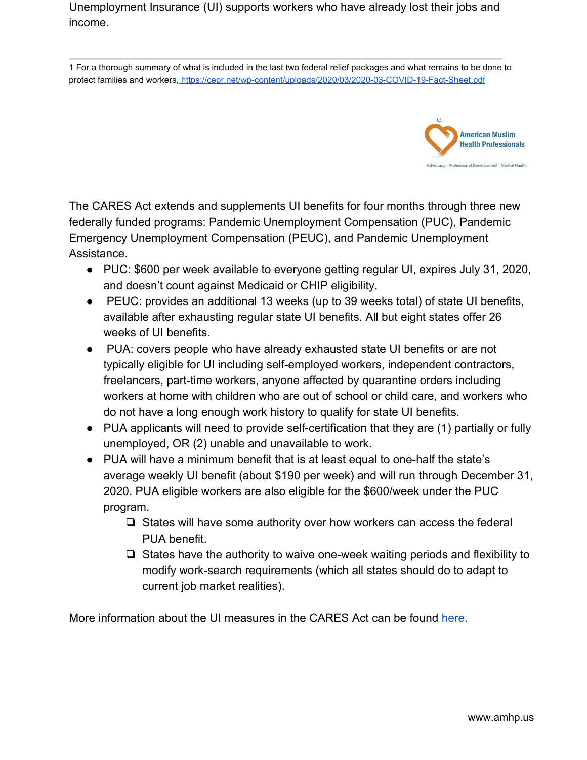Unemployment Insurance (UI) supports workers who have already lost their jobs and income.

1 For a thorough summary of what is included in the last two federal relief packages and what remains to be done to protect families and workers,<https://cepr.net/wp-content/uploads/2020/03/2020-03-COVID-19-Fact-Sheet.pdf>

\_\_\_\_\_\_\_\_\_\_\_\_\_\_\_\_\_\_\_\_\_\_\_\_\_\_\_\_\_\_\_\_\_\_\_\_\_\_\_\_\_\_\_\_\_\_\_\_\_\_\_\_\_\_\_\_\_\_\_\_\_\_\_\_\_\_\_\_\_\_\_\_\_\_



The CARES Act extends and supplements UI benefits for four months through three new federally funded programs: Pandemic Unemployment Compensation (PUC), Pandemic Emergency Unemployment Compensation (PEUC), and Pandemic Unemployment Assistance.

- PUC: \$600 per week available to everyone getting regular UI, expires July 31, 2020, and doesn't count against Medicaid or CHIP eligibility.
- PEUC: provides an additional 13 weeks (up to 39 weeks total) of state UI benefits, available after exhausting regular state UI benefits. All but eight states offer 26 weeks of UI benefits.
- PUA: covers people who have already exhausted state UI benefits or are not typically eligible for UI including self-employed workers, independent contractors, freelancers, part-time workers, anyone affected by quarantine orders including workers at home with children who are out of school or child care, and workers who do not have a long enough work history to qualify for state UI benefits.
- PUA applicants will need to provide self-certification that they are (1) partially or fully unemployed, OR (2) unable and unavailable to work.
- PUA will have a minimum benefit that is at least equal to one-half the state's average weekly UI benefit (about \$190 per week) and will run through December 31, 2020. PUA eligible workers are also eligible for the \$600/week under the PUC program.
	- ❏ States will have some authority over how workers can access the federal PUA benefit.
	- ❏ States have the authority to waive one-week waiting periods and flexibility to modify work-search requirements (which all states should do to adapt to current job market realities).

More information about the UI measures in the CARES Act can be found [here.](https://www.nelp.org/publication/unemployment-insurance-provisions-coronavirus-aid-relief-economic-security-cares-act/)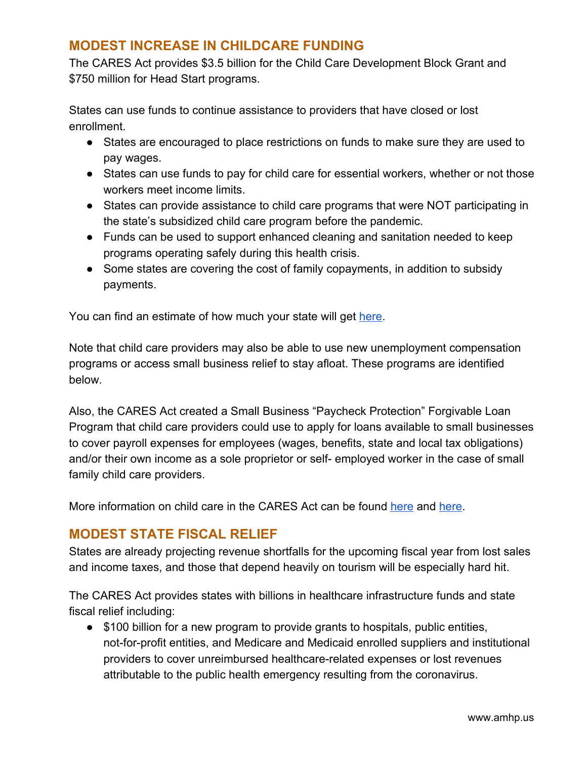#### **MODEST INCREASE IN CHILDCARE FUNDING**

The CARES Act provides \$3.5 billion for the Child Care Development Block Grant and \$750 million for Head Start programs.

States can use funds to continue assistance to providers that have closed or lost enrollment.

- States are encouraged to place restrictions on funds to make sure they are used to pay wages.
- States can use funds to pay for child care for essential workers, whether or not those workers meet income limits.
- States can provide assistance to child care programs that were NOT participating in the state's subsidized child care program before the pandemic.
- Funds can be used to support enhanced cleaning and sanitation needed to keep programs operating safely during this health crisis.
- Some states are covering the cost of family copayments, in addition to subsidy payments.

You can find an estimate of how much your state will get [here.](https://www.clasp.org/sites/default/files/publications/2020/03/2020_3.5billionchildcarecoronaviruspackage.pdf)

Note that child care providers may also be able to use new unemployment compensation programs or access small business relief to stay afloat. These programs are identified below.

Also, the CARES Act created a Small Business "Paycheck Protection" Forgivable Loan Program that child care providers could use to apply for loans available to small businesses to cover payroll expenses for employees (wages, benefits, state and local tax obligations) and/or their own income as a sole proprietor or self- employed worker in the case of small family child care providers.

More information on child care in the CARES Act can be found [here](https://nwlc-ciw49tixgw5lbab.stackpathdns.com/wp-content/uploads/2020/03/SUPPORTING-HOME-BASED-CHILD-CARE-PROVIDERS-.pdf) and here.

### **MODEST STATE FISCAL RELIEF**

States are already projecting revenue shortfalls for the upcoming fiscal year from lost sales and income taxes, and those that depend heavily on tourism will be especially hard hit.

The CARES Act provides states with billions in healthcare infrastructure funds and state fiscal relief including:

● \$100 billion for a new program to provide grants to hospitals, public entities, not-for-profit entities, and Medicare and Medicaid enrolled suppliers and institutional providers to cover unreimbursed healthcare-related expenses or lost revenues attributable to the public health emergency resulting from the coronavirus.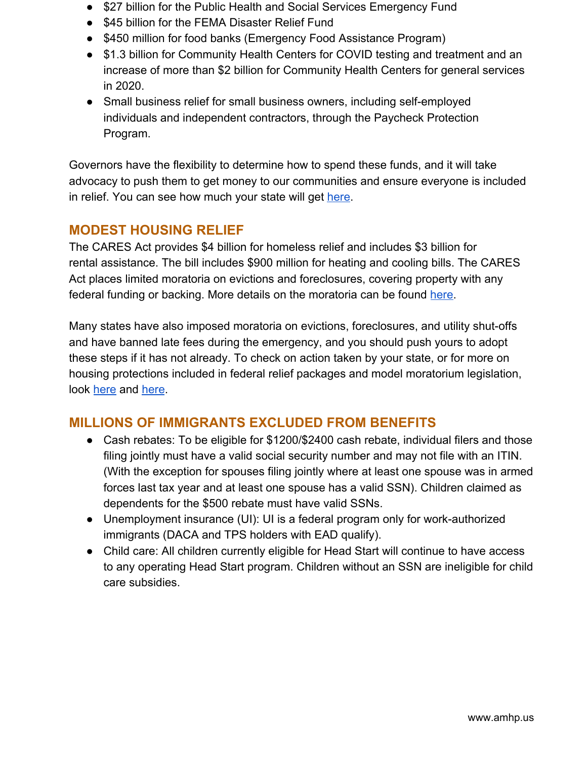- \$27 billion for the Public Health and Social Services Emergency Fund
- \$45 billion for the FEMA Disaster Relief Fund
- \$450 million for food banks (Emergency Food Assistance Program)
- \$1.3 billion for Community Health Centers for COVID testing and treatment and an increase of more than \$2 billion for Community Health Centers for general services in 2020.
- Small business relief for small business owners, including self-employed individuals and independent contractors, through the Paycheck Protection Program.

Governors have the flexibility to determine how to spend these funds, and it will take advocacy to push them to get money to our communities and ensure everyone is included in relief. You can see how much your state will get [here](https://www.cbpp.org/research/how-much-each-state-will-receive-from-the-coronavirus-relief-fund-in-the-cares-act).

### **MODEST HOUSING RELIEF**

The CARES Act provides \$4 billion for homeless relief and includes \$3 billion for rental assistance. The bill includes \$900 million for heating and cooling bills. The CARES Act places limited moratoria on evictions and foreclosures, covering property with any federal funding or backing. More details on the moratoria can be found [here.](https://www.nhlp.org/wp-content/uploads/2020.03.27-NHLP-CARES-Act-Eviction-Moratorium-Summary.pdf)

Many states have also imposed moratoria on evictions, foreclosures, and utility shut-offs and have banned late fees during the emergency, and you should push yours to adopt these steps if it has not already. To check on action taken by your state, or for more on housing protections included in federal relief packages and model moratorium legislation, look [here](https://www.nhlp.org/campaign/protecting-renter-and-homeowner-rights-during-our-national-health-crisis-2/) and [here](https://nlchp.org/coronavirus/).

## **MILLIONS OF IMMIGRANTS EXCLUDED FROM BENEFITS**

- Cash rebates: To be eligible for \$1200/\$2400 cash rebate, individual filers and those filing jointly must have a valid social security number and may not file with an ITIN. (With the exception for spouses filing jointly where at least one spouse was in armed forces last tax year and at least one spouse has a valid SSN). Children claimed as dependents for the \$500 rebate must have valid SSNs.
- Unemployment insurance (UI): UI is a federal program only for work-authorized immigrants (DACA and TPS holders with EAD qualify).
- Child care: All children currently eligible for Head Start will continue to have access to any operating Head Start program. Children without an SSN are ineligible for child care subsidies.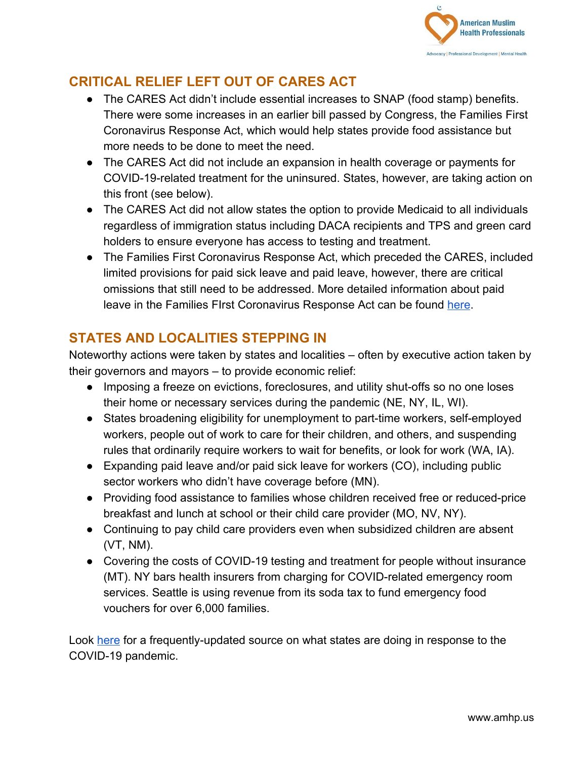

## **CRITICAL RELIEF LEFT OUT OF CARES ACT**

- The CARES Act didn't include essential increases to SNAP (food stamp) benefits. There were some increases in an earlier bill passed by Congress, the Families First Coronavirus Response Act, which would help states provide food assistance but more needs to be done to meet the need.
- The CARES Act did not include an expansion in health coverage or payments for COVID-19-related treatment for the uninsured. States, however, are taking action on this front (see below).
- The CARES Act did not allow states the option to provide Medicaid to all individuals regardless of immigration status including DACA recipients and TPS and green card holders to ensure everyone has access to testing and treatment.
- The Families First Coronavirus Response Act, which preceded the CARES, included limited provisions for paid sick leave and paid leave, however, there are critical omissions that still need to be addressed. More detailed information about paid leave in the Families FIrst Coronavirus Response Act can be found [here](https://www.americanprogress.org/issues/women/news/2020/03/24/482196/congress-must-extend-paid-leave-protections-workers-next-coronavirus-response-bill/).

## **STATES AND LOCALITIES STEPPING IN**

Noteworthy actions were taken by states and localities – often by executive action taken by their governors and mayors – to provide economic relief:

- Imposing a freeze on evictions, foreclosures, and utility shut-offs so no one loses their home or necessary services during the pandemic (NE, NY, IL, WI).
- States broadening eligibility for unemployment to part-time workers, self-employed workers, people out of work to care for their children, and others, and suspending rules that ordinarily require workers to wait for benefits, or look for work (WA, IA).
- Expanding paid leave and/or paid sick leave for workers (CO), including public sector workers who didn't have coverage before (MN).
- Providing food assistance to families whose children received free or reduced-price breakfast and lunch at school or their child care provider (MO, NV, NY).
- Continuing to pay child care providers even when subsidized children are absent (VT, NM).
- Covering the costs of COVID-19 testing and treatment for people without insurance (MT). NY bars health insurers from charging for COVID-related emergency room services. Seattle is using revenue from its soda tax to fund emergency food vouchers for over 6,000 families.

Look [here](https://www.nga.org/coronavirus/#states) for a frequently-updated source on what states are doing in response to the COVID-19 pandemic.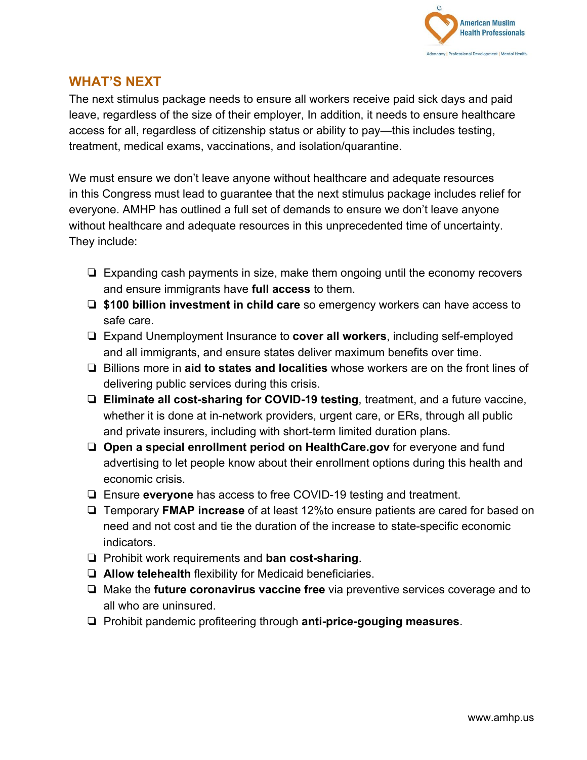

#### **WHAT'S NEXT**

The next stimulus package needs to ensure all workers receive paid sick days and paid leave, regardless of the size of their employer, In addition, it needs to ensure healthcare access for all, regardless of citizenship status or ability to pay—this includes testing, treatment, medical exams, vaccinations, and isolation/quarantine.

We must ensure we don't leave anyone without healthcare and adequate resources in this Congress must lead to guarantee that the next stimulus package includes relief for everyone. AMHP has outlined a full set of demands to ensure we don't leave anyone without healthcare and adequate resources in this unprecedented time of uncertainty. They include:

- ❏ Expanding cash payments in size, make them ongoing until the economy recovers and ensure immigrants have **full access** to them.
- ❏ **\$100 billion investment in child care** so emergency workers can have access to safe care.
- ❏ Expand Unemployment Insurance to **cover all workers**, including self-employed and all immigrants, and ensure states deliver maximum benefits over time.
- ❏ Billions more in **aid to states and localities** whose workers are on the front lines of delivering public services during this crisis.
- ❏ **Eliminate all cost-sharing for COVID-19 testing**, treatment, and a future vaccine, whether it is done at in-network providers, urgent care, or ERs, through all public and private insurers, including with short-term limited duration plans.
- ❏ **Open a special enrollment period on HealthCare.gov** for everyone and fund advertising to let people know about their enrollment options during this health and economic crisis.
- ❏ Ensure **everyone** has access to free COVID-19 testing and treatment.
- ❏ Temporary **FMAP increase** of at least 12%to ensure patients are cared for based on need and not cost and tie the duration of the increase to state-specific economic indicators.
- ❏ Prohibit work requirements and **ban cost-sharing**.
- ❏ **Allow telehealth** flexibility for Medicaid beneficiaries.
- ❏ Make the **future coronavirus vaccine free** via preventive services coverage and to all who are uninsured.
- ❏ Prohibit pandemic profiteering through **anti-price-gouging measures**.